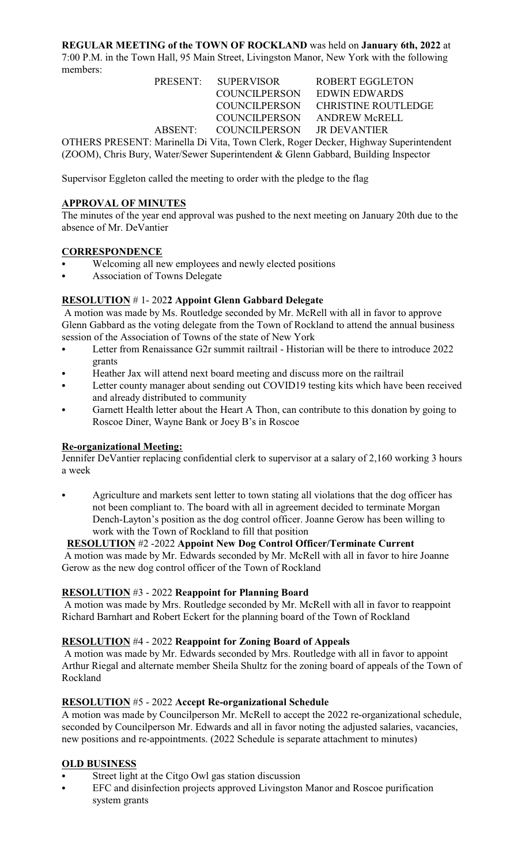#### **REGULAR MEETING of the TOWN OF ROCKLAND** was held on **January 6th, 2022** at 7:00 P.M. in the Town Hall, 95 Main Street, Livingston Manor, New York with the following members:

|                                                                                 | PRESENT: SUPERVISOR                | ROBERT EGGLETON                   |  |
|---------------------------------------------------------------------------------|------------------------------------|-----------------------------------|--|
|                                                                                 | COUNCILPERSON EDWIN EDWARDS        |                                   |  |
|                                                                                 |                                    | COUNCILPERSON CHRISTINE ROUTLEDGE |  |
|                                                                                 | COUNCILPERSON ANDREW McRELL        |                                   |  |
|                                                                                 | ABSENT: COUNCILPERSON JR DEVANTIER |                                   |  |
| OTHER ODECENT, Morinalla D. Vita Town Clark Dogon Doglean Highway Cynonintondau |                                    |                                   |  |

OTHERS PRESENT: Marinella Di Vita, Town Clerk, Roger Decker, Highway Superintendent (ZOOM), Chris Bury, Water/Sewer Superintendent & Glenn Gabbard, Building Inspector

Supervisor Eggleton called the meeting to order with the pledge to the flag

# **APPROVAL OF MINUTES**

The minutes of the year end approval was pushed to the next meeting on January 20th due to the absence of Mr. DeVantier

#### **CORRESPONDENCE**

- Welcoming all new employees and newly elected positions
- Association of Towns Delegate

# **RESOLUTION** # 1- 202**2 Appoint Glenn Gabbard Delegate**

 A motion was made by Ms. Routledge seconded by Mr. McRell with all in favor to approve Glenn Gabbard as the voting delegate from the Town of Rockland to attend the annual business session of the Association of Towns of the state of New York

- Letter from Renaissance G2r summit railtrail Historian will be there to introduce 2022 grants
- Heather Jax will attend next board meeting and discuss more on the railtrail
- Letter county manager about sending out COVID19 testing kits which have been received and already distributed to community
- Garnett Health letter about the Heart A Thon, can contribute to this donation by going to Roscoe Diner, Wayne Bank or Joey B's in Roscoe

# **Re-organizational Meeting:**

Jennifer DeVantier replacing confidential clerk to supervisor at a salary of 2,160 working 3 hours a week

Agriculture and markets sent letter to town stating all violations that the dog officer has not been compliant to. The board with all in agreement decided to terminate Morgan Dench-Layton's position as the dog control officer. Joanne Gerow has been willing to work with the Town of Rockland to fill that position

# **RESOLUTION** #2 -2022 **Appoint New Dog Control Officer/Terminate Current**

 A motion was made by Mr. Edwards seconded by Mr. McRell with all in favor to hire Joanne Gerow as the new dog control officer of the Town of Rockland

#### **RESOLUTION** #3 - 2022 **Reappoint for Planning Board**

 A motion was made by Mrs. Routledge seconded by Mr. McRell with all in favor to reappoint Richard Barnhart and Robert Eckert for the planning board of the Town of Rockland

# **RESOLUTION** #4 - 2022 **Reappoint for Zoning Board of Appeals**

 A motion was made by Mr. Edwards seconded by Mrs. Routledge with all in favor to appoint Arthur Riegal and alternate member Sheila Shultz for the zoning board of appeals of the Town of Rockland

# **RESOLUTION** #5 - 2022 **Accept Re-organizational Schedule**

A motion was made by Councilperson Mr. McRell to accept the 2022 re-organizational schedule, seconded by Councilperson Mr. Edwards and all in favor noting the adjusted salaries, vacancies, new positions and re-appointments. (2022 Schedule is separate attachment to minutes)

# **OLD BUSINESS**

- Street light at the Citgo Owl gas station discussion
- EFC and disinfection projects approved Livingston Manor and Roscoe purification system grants